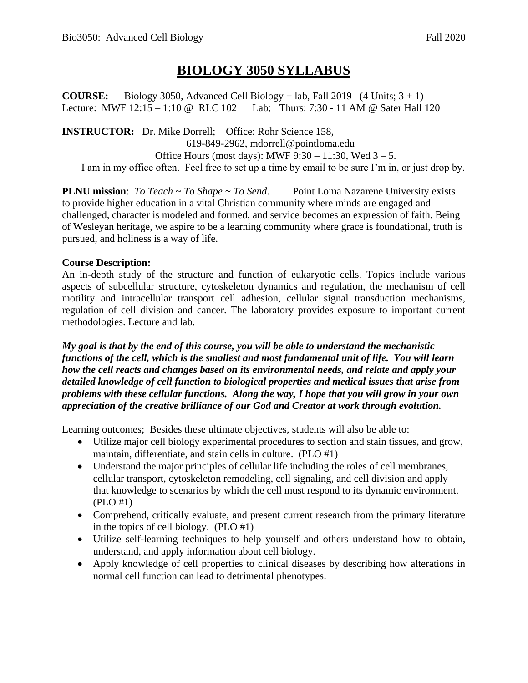# **BIOLOGY 3050 SYLLABUS**

**COURSE:** Biology 3050, Advanced Cell Biology + lab, Fall 2019  $(4 \text{ Units}; 3 + 1)$ Lecture: MWF 12:15 – 1:10 @ RLC 102 Lab; Thurs: 7:30 - 11 AM @ Sater Hall 120

**INSTRUCTOR:** Dr. Mike Dorrell; Office: Rohr Science 158, 619-849-2962, mdorrell@pointloma.edu Office Hours (most days): MWF  $9:30 - 11:30$ , Wed  $3 - 5$ . I am in my office often. Feel free to set up a time by email to be sure I'm in, or just drop by.

**PLNU mission**: *To Teach ~ To Shape ~ To Send*. Point Loma Nazarene University exists to provide higher education in a vital Christian community where minds are engaged and challenged, character is modeled and formed, and service becomes an expression of faith. Being of Wesleyan heritage, we aspire to be a learning community where grace is foundational, truth is pursued, and holiness is a way of life.

# **Course Description:**

An in-depth study of the structure and function of eukaryotic cells. Topics include various aspects of subcellular structure, cytoskeleton dynamics and regulation, the mechanism of cell motility and intracellular transport cell adhesion, cellular signal transduction mechanisms, regulation of cell division and cancer. The laboratory provides exposure to important current methodologies. Lecture and lab.

*My goal is that by the end of this course, you will be able to understand the mechanistic functions of the cell, which is the smallest and most fundamental unit of life. You will learn how the cell reacts and changes based on its environmental needs, and relate and apply your detailed knowledge of cell function to biological properties and medical issues that arise from problems with these cellular functions. Along the way, I hope that you will grow in your own appreciation of the creative brilliance of our God and Creator at work through evolution.* 

Learning outcomes; Besides these ultimate objectives, students will also be able to:

- Utilize major cell biology experimental procedures to section and stain tissues, and grow, maintain, differentiate, and stain cells in culture. (PLO #1)
- Understand the major principles of cellular life including the roles of cell membranes, cellular transport, cytoskeleton remodeling, cell signaling, and cell division and apply that knowledge to scenarios by which the cell must respond to its dynamic environment. (PLO #1)
- Comprehend, critically evaluate, and present current research from the primary literature in the topics of cell biology. (PLO #1)
- Utilize self-learning techniques to help yourself and others understand how to obtain, understand, and apply information about cell biology.
- Apply knowledge of cell properties to clinical diseases by describing how alterations in normal cell function can lead to detrimental phenotypes.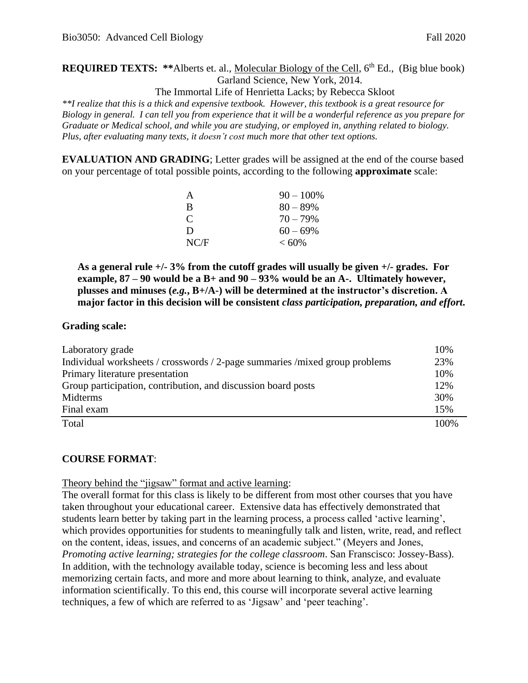**REQUIRED TEXTS:** \*\*Alberts et. al., Molecular Biology of the Cell, 6<sup>th</sup> Ed., (Big blue book) Garland Science, New York, 2014.

The Immortal Life of Henrietta Lacks; by Rebecca Skloot

*\*\*I realize that this is a thick and expensive textbook. However, this textbook is a great resource for Biology in general. I can tell you from experience that it will be a wonderful reference as you prepare for Graduate or Medical school, and while you are studying, or employed in, anything related to biology. Plus, after evaluating many texts, it doesn't cost much more that other text options.* 

**EVALUATION AND GRADING**; Letter grades will be assigned at the end of the course based on your percentage of total possible points, according to the following **approximate** scale:

| A             | $90 - 100\%$ |
|---------------|--------------|
| B             | $80 - 89\%$  |
| $\mathcal{C}$ | $70 - 79\%$  |
| D             | $60 - 69\%$  |
| NC/F          | $< 60\%$     |

**As a general rule +/- 3% from the cutoff grades will usually be given +/- grades. For example, 87 – 90 would be a B+ and 90 – 93% would be an A-. Ultimately however, plusses and minuses (***e.g.***, B+/A-) will be determined at the instructor's discretion. A major factor in this decision will be consistent** *class participation, preparation, and effort***.** 

#### **Grading scale:**

| Laboratory grade                                                             | 10%  |
|------------------------------------------------------------------------------|------|
| Individual worksheets / crosswords / 2-page summaries / mixed group problems | 23%  |
| Primary literature presentation                                              | 10%  |
| Group participation, contribution, and discussion board posts                | 12%  |
| Midterms                                                                     | 30%  |
| Final exam                                                                   | 15%  |
| Total                                                                        | 100% |

#### **COURSE FORMAT**:

Theory behind the "jigsaw" format and active learning:

The overall format for this class is likely to be different from most other courses that you have taken throughout your educational career. Extensive data has effectively demonstrated that students learn better by taking part in the learning process, a process called 'active learning', which provides opportunities for students to meaningfully talk and listen, write, read, and reflect on the content, ideas, issues, and concerns of an academic subject." (Meyers and Jones, *Promoting active learning; strategies for the college classroom*. San Franscisco: Jossey-Bass). In addition, with the technology available today, science is becoming less and less about memorizing certain facts, and more and more about learning to think, analyze, and evaluate information scientifically. To this end, this course will incorporate several active learning techniques, a few of which are referred to as 'Jigsaw' and 'peer teaching'.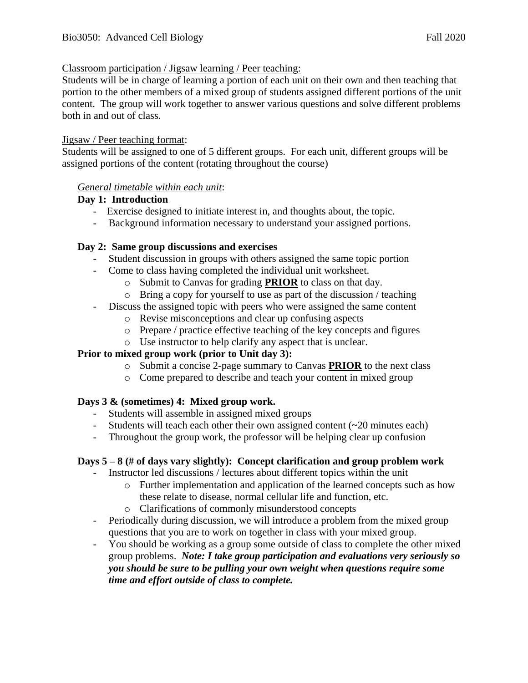#### Classroom participation / Jigsaw learning / Peer teaching:

Students will be in charge of learning a portion of each unit on their own and then teaching that portion to the other members of a mixed group of students assigned different portions of the unit content. The group will work together to answer various questions and solve different problems both in and out of class.

#### Jigsaw / Peer teaching format:

Students will be assigned to one of 5 different groups. For each unit, different groups will be assigned portions of the content (rotating throughout the course)

#### *General timetable within each unit*:

#### **Day 1: Introduction**

- Exercise designed to initiate interest in, and thoughts about, the topic.
- Background information necessary to understand your assigned portions.

# **Day 2: Same group discussions and exercises**

- Student discussion in groups with others assigned the same topic portion
- Come to class having completed the individual unit worksheet.
	- o Submit to Canvas for grading **PRIOR** to class on that day.
	- o Bring a copy for yourself to use as part of the discussion / teaching
- Discuss the assigned topic with peers who were assigned the same content
	- o Revise misconceptions and clear up confusing aspects
	- o Prepare / practice effective teaching of the key concepts and figures
	- o Use instructor to help clarify any aspect that is unclear.

# **Prior to mixed group work (prior to Unit day 3):**

- o Submit a concise 2-page summary to Canvas **PRIOR** to the next class
- o Come prepared to describe and teach your content in mixed group

# **Days 3 & (sometimes) 4: Mixed group work.**

- Students will assemble in assigned mixed groups
- Students will teach each other their own assigned content (~20 minutes each)
- Throughout the group work, the professor will be helping clear up confusion

# **Days 5 – 8 (# of days vary slightly): Concept clarification and group problem work**

- Instructor led discussions / lectures about different topics within the unit
	- o Further implementation and application of the learned concepts such as how these relate to disease, normal cellular life and function, etc.
	- o Clarifications of commonly misunderstood concepts
- Periodically during discussion, we will introduce a problem from the mixed group questions that you are to work on together in class with your mixed group.
- You should be working as a group some outside of class to complete the other mixed group problems. *Note: I take group participation and evaluations very seriously so you should be sure to be pulling your own weight when questions require some time and effort outside of class to complete.*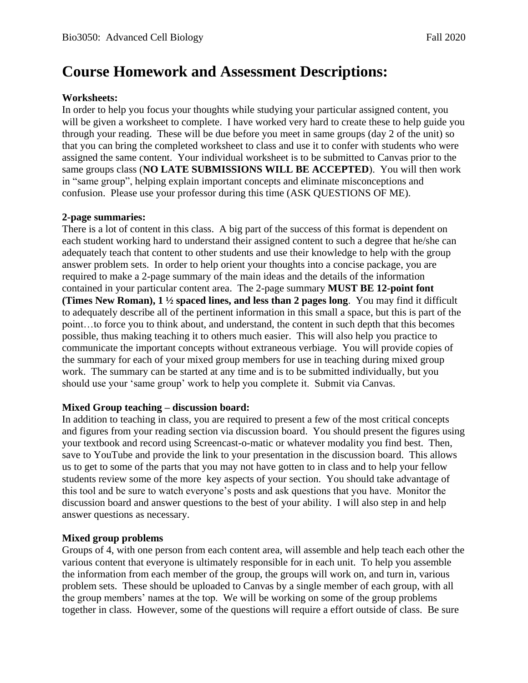# **Course Homework and Assessment Descriptions:**

# **Worksheets:**

In order to help you focus your thoughts while studying your particular assigned content, you will be given a worksheet to complete. I have worked very hard to create these to help guide you through your reading. These will be due before you meet in same groups (day 2 of the unit) so that you can bring the completed worksheet to class and use it to confer with students who were assigned the same content. Your individual worksheet is to be submitted to Canvas prior to the same groups class (**NO LATE SUBMISSIONS WILL BE ACCEPTED**). You will then work in "same group", helping explain important concepts and eliminate misconceptions and confusion. Please use your professor during this time (ASK QUESTIONS OF ME).

#### **2-page summaries:**

There is a lot of content in this class. A big part of the success of this format is dependent on each student working hard to understand their assigned content to such a degree that he/she can adequately teach that content to other students and use their knowledge to help with the group answer problem sets. In order to help orient your thoughts into a concise package, you are required to make a 2-page summary of the main ideas and the details of the information contained in your particular content area. The 2-page summary **MUST BE 12-point font (Times New Roman), 1 ½ spaced lines, and less than 2 pages long**. You may find it difficult to adequately describe all of the pertinent information in this small a space, but this is part of the point…to force you to think about, and understand, the content in such depth that this becomes possible, thus making teaching it to others much easier. This will also help you practice to communicate the important concepts without extraneous verbiage. You will provide copies of the summary for each of your mixed group members for use in teaching during mixed group work. The summary can be started at any time and is to be submitted individually, but you should use your 'same group' work to help you complete it. Submit via Canvas.

# **Mixed Group teaching – discussion board:**

In addition to teaching in class, you are required to present a few of the most critical concepts and figures from your reading section via discussion board. You should present the figures using your textbook and record using Screencast-o-matic or whatever modality you find best. Then, save to YouTube and provide the link to your presentation in the discussion board. This allows us to get to some of the parts that you may not have gotten to in class and to help your fellow students review some of the more key aspects of your section. You should take advantage of this tool and be sure to watch everyone's posts and ask questions that you have. Monitor the discussion board and answer questions to the best of your ability. I will also step in and help answer questions as necessary.

# **Mixed group problems**

Groups of 4, with one person from each content area, will assemble and help teach each other the various content that everyone is ultimately responsible for in each unit. To help you assemble the information from each member of the group, the groups will work on, and turn in, various problem sets. These should be uploaded to Canvas by a single member of each group, with all the group members' names at the top. We will be working on some of the group problems together in class. However, some of the questions will require a effort outside of class. Be sure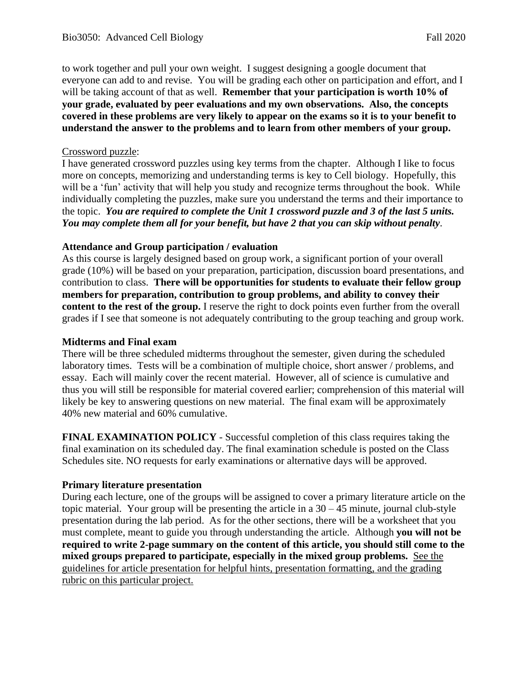to work together and pull your own weight. I suggest designing a google document that everyone can add to and revise. You will be grading each other on participation and effort, and I will be taking account of that as well. **Remember that your participation is worth 10% of your grade, evaluated by peer evaluations and my own observations. Also, the concepts covered in these problems are very likely to appear on the exams so it is to your benefit to understand the answer to the problems and to learn from other members of your group.**

#### Crossword puzzle:

I have generated crossword puzzles using key terms from the chapter. Although I like to focus more on concepts, memorizing and understanding terms is key to Cell biology. Hopefully, this will be a 'fun' activity that will help you study and recognize terms throughout the book. While individually completing the puzzles, make sure you understand the terms and their importance to the topic. *You are required to complete the Unit 1 crossword puzzle and 3 of the last 5 units. You may complete them all for your benefit, but have 2 that you can skip without penalty*.

# **Attendance and Group participation / evaluation**

As this course is largely designed based on group work, a significant portion of your overall grade (10%) will be based on your preparation, participation, discussion board presentations, and contribution to class. **There will be opportunities for students to evaluate their fellow group members for preparation, contribution to group problems, and ability to convey their content to the rest of the group.** I reserve the right to dock points even further from the overall grades if I see that someone is not adequately contributing to the group teaching and group work.

#### **Midterms and Final exam**

There will be three scheduled midterms throughout the semester, given during the scheduled laboratory times. Tests will be a combination of multiple choice, short answer / problems, and essay. Each will mainly cover the recent material. However, all of science is cumulative and thus you will still be responsible for material covered earlier; comprehension of this material will likely be key to answering questions on new material. The final exam will be approximately 40% new material and 60% cumulative.

**FINAL EXAMINATION POLICY** - Successful completion of this class requires taking the final examination on its scheduled day. The final examination schedule is posted on the Class Schedules site. NO requests for early examinations or alternative days will be approved.

# **Primary literature presentation**

During each lecture, one of the groups will be assigned to cover a primary literature article on the topic material. Your group will be presenting the article in a  $30 - 45$  minute, journal club-style presentation during the lab period. As for the other sections, there will be a worksheet that you must complete, meant to guide you through understanding the article. Although **you will not be required to write 2-page summary on the content of this article, you should still come to the mixed groups prepared to participate, especially in the mixed group problems.** See the guidelines for article presentation for helpful hints, presentation formatting, and the grading rubric on this particular project.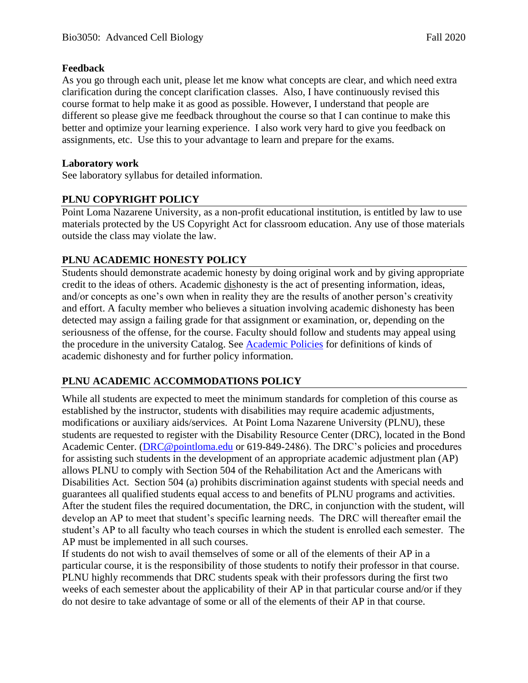# **Feedback**

As you go through each unit, please let me know what concepts are clear, and which need extra clarification during the concept clarification classes. Also, I have continuously revised this course format to help make it as good as possible. However, I understand that people are different so please give me feedback throughout the course so that I can continue to make this better and optimize your learning experience. I also work very hard to give you feedback on assignments, etc. Use this to your advantage to learn and prepare for the exams.

#### **Laboratory work**

See laboratory syllabus for detailed information.

# **PLNU COPYRIGHT POLICY**

Point Loma Nazarene University, as a non-profit educational institution, is entitled by law to use materials protected by the US Copyright Act for classroom education. Any use of those materials outside the class may violate the law.

# **PLNU ACADEMIC HONESTY POLICY**

Students should demonstrate academic honesty by doing original work and by giving appropriate credit to the ideas of others. Academic dishonesty is the act of presenting information, ideas, and/or concepts as one's own when in reality they are the results of another person's creativity and effort. A faculty member who believes a situation involving academic dishonesty has been detected may assign a failing grade for that assignment or examination, or, depending on the seriousness of the offense, for the course. Faculty should follow and students may appeal using the procedure in the university Catalog. See **Academic Policies** for definitions of kinds of academic dishonesty and for further policy information.

# **PLNU ACADEMIC ACCOMMODATIONS POLICY**

While all students are expected to meet the minimum standards for completion of this course as established by the instructor, students with disabilities may require academic adjustments, modifications or auxiliary aids/services. At Point Loma Nazarene University (PLNU), these students are requested to register with the Disability Resource Center (DRC), located in the Bond Academic Center. [\(DRC@pointloma.edu](mailto:DRC@pointloma.edu) or 619-849-2486). The DRC's policies and procedures for assisting such students in the development of an appropriate academic adjustment plan (AP) allows PLNU to comply with Section 504 of the Rehabilitation Act and the Americans with Disabilities Act. Section 504 (a) prohibits discrimination against students with special needs and guarantees all qualified students equal access to and benefits of PLNU programs and activities. After the student files the required documentation, the DRC, in conjunction with the student, will develop an AP to meet that student's specific learning needs. The DRC will thereafter email the student's AP to all faculty who teach courses in which the student is enrolled each semester. The AP must be implemented in all such courses.

If students do not wish to avail themselves of some or all of the elements of their AP in a particular course, it is the responsibility of those students to notify their professor in that course. PLNU highly recommends that DRC students speak with their professors during the first two weeks of each semester about the applicability of their AP in that particular course and/or if they do not desire to take advantage of some or all of the elements of their AP in that course.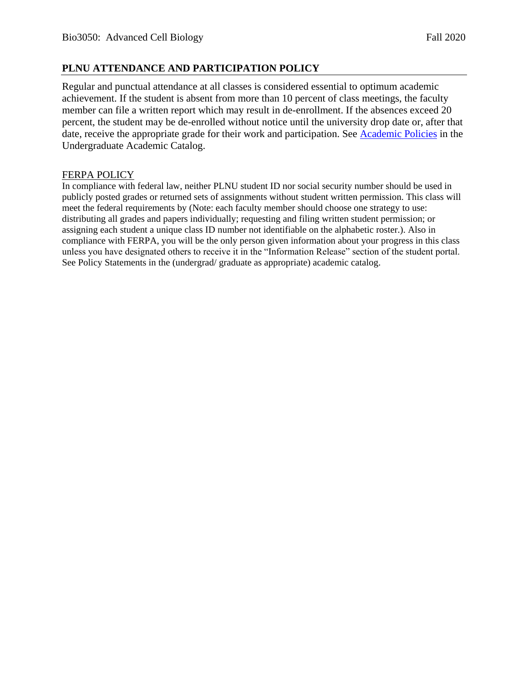#### **PLNU ATTENDANCE AND PARTICIPATION POLICY**

Regular and punctual attendance at all classes is considered essential to optimum academic achievement. If the student is absent from more than 10 percent of class meetings, the faculty member can file a written report which may result in de-enrollment. If the absences exceed 20 percent, the student may be de-enrolled without notice until the university drop date or, after that date, receive the appropriate grade for their work and participation. See [Academic Policies](http://catalog.pointloma.edu/content.php?catoid=18&navoid=1278) in the Undergraduate Academic Catalog.

#### FERPA POLICY

In compliance with federal law, neither PLNU student ID nor social security number should be used in publicly posted grades or returned sets of assignments without student written permission. This class will meet the federal requirements by (Note: each faculty member should choose one strategy to use: distributing all grades and papers individually; requesting and filing written student permission; or assigning each student a unique class ID number not identifiable on the alphabetic roster.). Also in compliance with FERPA, you will be the only person given information about your progress in this class unless you have designated others to receive it in the "Information Release" section of the student portal. See Policy Statements in the (undergrad/ graduate as appropriate) academic catalog.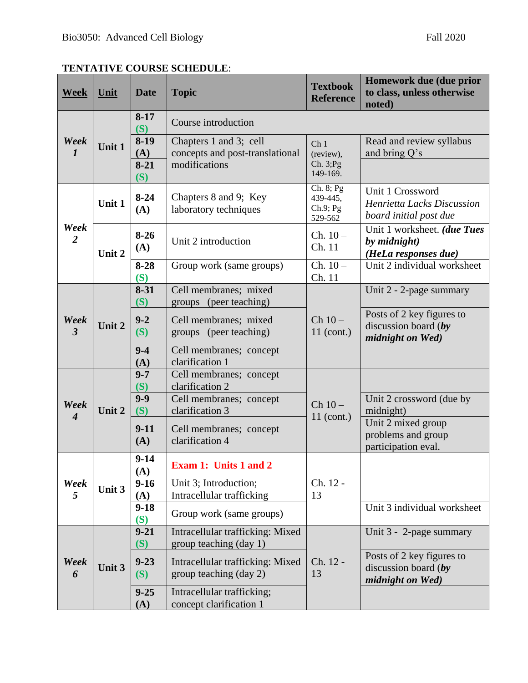# **TENTATIVE COURSE SCHEDULE**:

| <b>Week</b>                         | Unit   | <b>Date</b>     | <b>Topic</b>                                               | <b>Textbook</b><br><b>Reference</b>            | Homework due (due prior<br>to class, unless otherwise<br>noted)          |  |
|-------------------------------------|--------|-----------------|------------------------------------------------------------|------------------------------------------------|--------------------------------------------------------------------------|--|
| Week<br>$\boldsymbol{l}$            | Unit 1 | $8-17$<br>(S)   | Course introduction                                        |                                                |                                                                          |  |
|                                     |        | $8-19$<br>(A)   | Chapters 1 and 3; cell<br>concepts and post-translational  | Ch <sub>1</sub><br>(review),                   | Read and review syllabus<br>and bring Q's                                |  |
|                                     |        | $8-21$<br>(S)   | modifications                                              | Ch. 3; Pg<br>149-169.                          |                                                                          |  |
| Week<br>$\overline{2}$              | Unit 1 | $8-24$<br>(A)   | Chapters 8 and 9; Key<br>laboratory techniques             | Ch. 8; Pg<br>439-445,<br>$Ch.9;$ Pg<br>529-562 | Unit 1 Crossword<br>Henrietta Lacks Discussion<br>board initial post due |  |
|                                     | Unit 2 | $8-26$<br>(A)   | Unit 2 introduction                                        | $Ch. 10-$<br>Ch. 11                            | Unit 1 worksheet. (due Tues<br>by midnight)<br>(HeLa responses due)      |  |
|                                     |        | $8 - 28$<br>(S) | Group work (same groups)                                   | $Ch. 10-$<br>Ch. 11                            | Unit 2 individual worksheet                                              |  |
| Week<br>$\mathfrak{Z}$              | Unit 2 | $8 - 31$<br>(S) | Cell membranes; mixed<br>groups (peer teaching)            | $Ch 10-$<br>$11$ (cont.)                       | Unit 2 - 2-page summary                                                  |  |
|                                     |        | $9 - 2$<br>(S)  | Cell membranes; mixed<br>groups (peer teaching)            |                                                | Posts of 2 key figures to<br>discussion board $(by$<br>midnight on Wed)  |  |
|                                     |        | $9 - 4$<br>(A)  | Cell membranes; concept<br>clarification 1                 |                                                |                                                                          |  |
| Week<br>$\overline{\boldsymbol{4}}$ | Unit 2 | $9 - 7$<br>(S)  | Cell membranes; concept<br>clarification 2                 | $Ch 10-$<br>11 (cont.)                         |                                                                          |  |
|                                     |        | $9 - 9$<br>(S)  | Cell membranes; concept<br>clarification 3                 |                                                | Unit 2 crossword (due by<br>midnight)                                    |  |
|                                     |        | $9-11$<br>(A)   | Cell membranes; concept<br>clarification 4                 |                                                | Unit 2 mixed group<br>problems and group<br>participation eval.          |  |
| Week<br>5                           | Unit 3 | $9 - 14$<br>(A) | Exam 1: Units 1 and 2                                      | Ch. 12 -<br>13                                 |                                                                          |  |
|                                     |        | $9-16$<br>(A)   | Unit 3; Introduction;<br>Intracellular trafficking         |                                                |                                                                          |  |
|                                     |        | $9 - 18$<br>(S) | Group work (same groups)                                   |                                                | Unit 3 individual worksheet                                              |  |
| Week<br>6                           | Unit 3 | $9 - 21$<br>(S) | Intracellular trafficking: Mixed<br>group teaching (day 1) | Ch. 12 -<br>13                                 | Unit 3 - 2-page summary                                                  |  |
|                                     |        | $9 - 23$<br>(S) | Intracellular trafficking: Mixed<br>group teaching (day 2) |                                                | Posts of 2 key figures to<br>discussion board $(by)$<br>midnight on Wed) |  |
|                                     |        | $9 - 25$<br>(A) | Intracellular trafficking;<br>concept clarification 1      |                                                |                                                                          |  |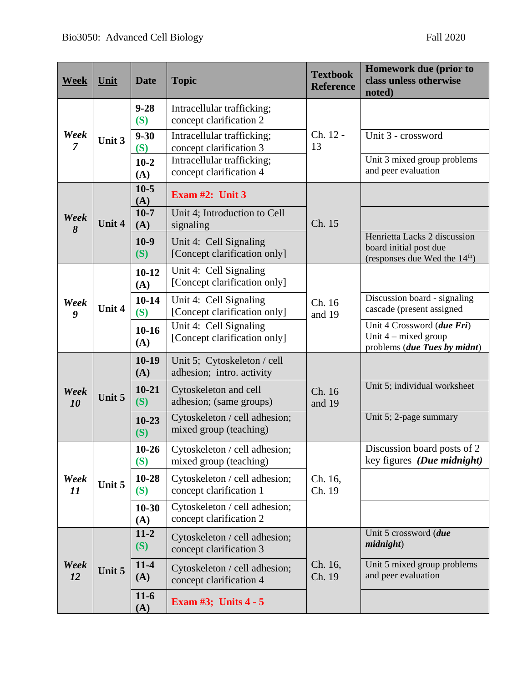| <b>Week</b>            | Unit   | <b>Date</b>      | <b>Topic</b>                                             | <b>Textbook</b><br><b>Reference</b> | Homework due (prior to<br>class unless otherwise<br>noted)                                |
|------------------------|--------|------------------|----------------------------------------------------------|-------------------------------------|-------------------------------------------------------------------------------------------|
| Week<br>$\overline{7}$ | Unit 3 | $9 - 28$<br>(S)  | Intracellular trafficking;<br>concept clarification 2    | Ch. 12 -<br>13                      |                                                                                           |
|                        |        | $9 - 30$<br>(S)  | Intracellular trafficking;<br>concept clarification 3    |                                     | Unit 3 - crossword                                                                        |
|                        |        | $10-2$<br>(A)    | Intracellular trafficking;<br>concept clarification 4    |                                     | Unit 3 mixed group problems<br>and peer evaluation                                        |
| Week<br>8              | Unit 4 | $10-5$<br>(A)    | Exam $#2$ : Unit 3                                       |                                     |                                                                                           |
|                        |        | $10-7$<br>(A)    | Unit 4; Introduction to Cell<br>signaling                | Ch. 15                              |                                                                                           |
|                        |        | $10-9$<br>(S)    | Unit 4: Cell Signaling<br>[Concept clarification only]   |                                     | Henrietta Lacks 2 discussion<br>board initial post due<br>(responses due Wed the $14th$ ) |
| Week<br>9              | Unit 4 | $10 - 12$<br>(A) | Unit 4: Cell Signaling<br>[Concept clarification only]   |                                     |                                                                                           |
|                        |        | $10-14$<br>(S)   | Unit 4: Cell Signaling<br>[Concept clarification only]   | Ch. 16<br>and 19                    | Discussion board - signaling<br>cascade (present assigned                                 |
|                        |        | $10 - 16$<br>(A) | Unit 4: Cell Signaling<br>[Concept clarification only]   |                                     | Unit 4 Crossword (due Fri)<br>Unit $4$ – mixed group<br>problems (due Tues by midnt)      |
| Week<br>10             | Unit 5 | $10-19$<br>(A)   | Unit 5; Cytoskeleton / cell<br>adhesion; intro. activity | Ch. 16<br>and 19                    |                                                                                           |
|                        |        | $10 - 21$<br>(S) | Cytoskeleton and cell<br>adhesion; (same groups)         |                                     | Unit 5; individual worksheet                                                              |
|                        |        | $10 - 23$<br>(S) | Cytoskeleton / cell adhesion;<br>mixed group (teaching)  |                                     | Unit 5; 2-page summary                                                                    |
| Week<br>11             | Unit 5 | $10 - 26$<br>(S) | Cytoskeleton / cell adhesion;<br>mixed group (teaching)  | Ch. 16,<br>Ch. 19                   | Discussion board posts of 2<br>key figures (Due midnight)                                 |
|                        |        | $10 - 28$<br>(S) | Cytoskeleton / cell adhesion;<br>concept clarification 1 |                                     |                                                                                           |
|                        |        | $10 - 30$<br>(A) | Cytoskeleton / cell adhesion;<br>concept clarification 2 |                                     |                                                                                           |
| Week<br>12             | Unit 5 | $11-2$<br>(S)    | Cytoskeleton / cell adhesion;<br>concept clarification 3 | Ch. 16,<br>Ch. 19                   | Unit 5 crossword (due<br>midn                                                             |
|                        |        | $11-4$<br>(A)    | Cytoskeleton / cell adhesion;<br>concept clarification 4 |                                     | Unit 5 mixed group problems<br>and peer evaluation                                        |
|                        |        | $11-6$<br>(A)    | Exam $#3$ ; Units $4 - 5$                                |                                     |                                                                                           |